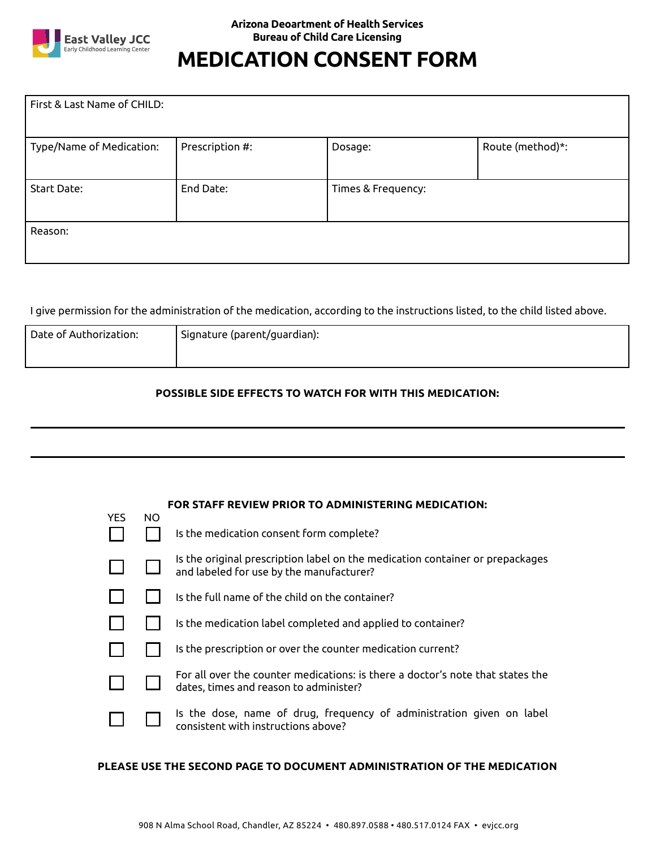

## **MEDICATION CONSENT FORM**

| First & Last Name of CHILD: |                 |                    |                  |  |  |  |  |  |  |
|-----------------------------|-----------------|--------------------|------------------|--|--|--|--|--|--|
| Type/Name of Medication:    | Prescription #: | Dosage:            | Route (method)*: |  |  |  |  |  |  |
| Start Date:                 | End Date:       | Times & Frequency: |                  |  |  |  |  |  |  |
| Reason:                     |                 |                    |                  |  |  |  |  |  |  |

I give permission for the administration of the medication, according to the instructions listed, to the child listed above.

| Date of Authorization: | ' Signature (parent/guardian): |
|------------------------|--------------------------------|
|                        |                                |

## **POSSIBLE SIDE EFFECTS TO WATCH FOR WITH THIS MEDICATION:**

|      | <b>FOR STAFF REVIEW PRIOR TO ADMINISTERING MEDICATION:</b> |                                                                                                                           |  |  |  |  |
|------|------------------------------------------------------------|---------------------------------------------------------------------------------------------------------------------------|--|--|--|--|
| YES. | NO.                                                        | Is the medication consent form complete?                                                                                  |  |  |  |  |
|      |                                                            | Is the original prescription label on the medication container or prepackages<br>and labeled for use by the manufacturer? |  |  |  |  |
|      |                                                            | Is the full name of the child on the container?                                                                           |  |  |  |  |
|      |                                                            | Is the medication label completed and applied to container?                                                               |  |  |  |  |
|      |                                                            | Is the prescription or over the counter medication current?                                                               |  |  |  |  |
|      |                                                            | For all over the counter medications: is there a doctor's note that states the<br>dates, times and reason to administer?  |  |  |  |  |
|      |                                                            | Is the dose, name of drug, frequency of administration given on label<br>consistent with instructions above?              |  |  |  |  |

## **PLEASE USE THE SECOND PAGE TO DOCUMENT ADMINISTRATION OF THE MEDICATION**